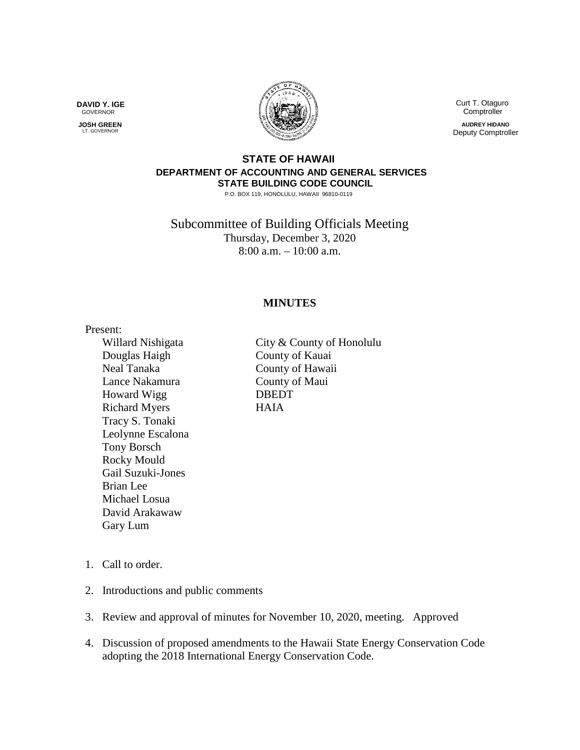**DAVID Y. IGE** GOVERNOR

 **JOSH GREEN LT. GOVERNOR** 



 Curt T. Otaguro **Comptroller** 

**AUDREY HIDANO** Deputy Comptroller

## **STATE OF HAWAII DEPARTMENT OF ACCOUNTING AND GENERAL SERVICES STATE BUILDING CODE COUNCIL**

P.O. BOX 119, HONOLULU, HAWAII 96810-0119

Subcommittee of Building Officials Meeting Thursday, December 3, 2020 8:00 a.m. – 10:00 a.m.

## **MINUTES**

Present: Douglas Haigh County of Kauai Neal Tanaka County of Hawaii Lance Nakamura County of Maui Howard Wigg DBEDT Richard Myers HAIA Tracy S. Tonaki Leolynne Escalona Tony Borsch Rocky Mould Gail Suzuki-Jones Brian Lee Michael Losua David Arakawaw Gary Lum

Willard Nishigata City & County of Honolulu

- 1. Call to order.
- 2. Introductions and public comments
- 3. Review and approval of minutes for November 10, 2020, meeting. Approved
- 4. Discussion of proposed amendments to the Hawaii State Energy Conservation Code adopting the 2018 International Energy Conservation Code.